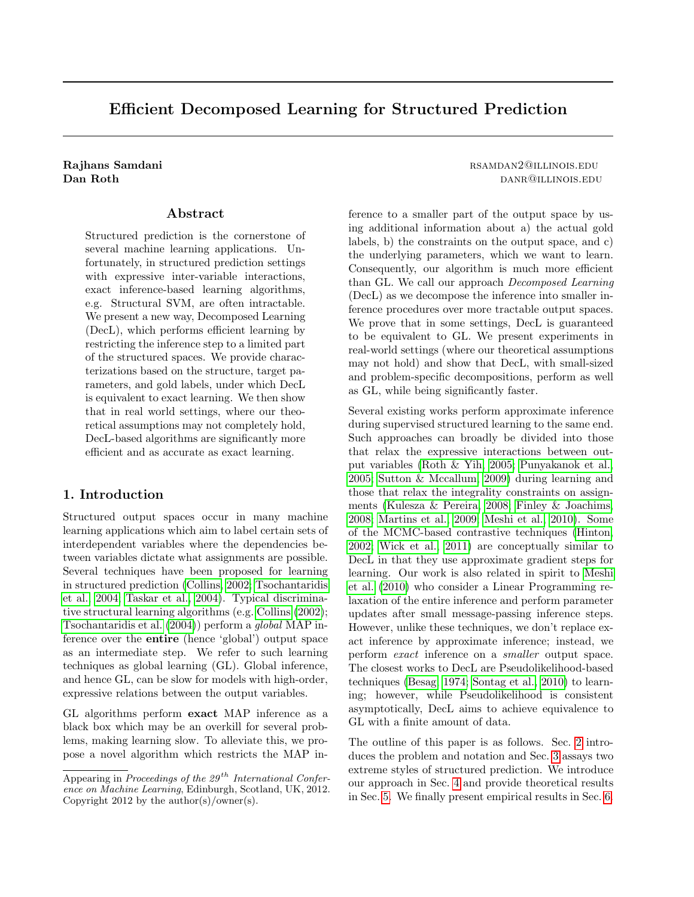# Efficient Decomposed Learning for Structured Prediction

#### Abstract

Structured prediction is the cornerstone of several machine learning applications. Unfortunately, in structured prediction settings with expressive inter-variable interactions, exact inference-based learning algorithms, e.g. Structural SVM, are often intractable. We present a new way, Decomposed Learning (DecL), which performs efficient learning by restricting the inference step to a limited part of the structured spaces. We provide characterizations based on the structure, target parameters, and gold labels, under which DecL is equivalent to exact learning. We then show that in real world settings, where our theoretical assumptions may not completely hold, DecL-based algorithms are significantly more efficient and as accurate as exact learning.

# 1. Introduction

Structured output spaces occur in many machine learning applications which aim to label certain sets of interdependent variables where the dependencies between variables dictate what assignments are possible. Several techniques have been proposed for learning in structured prediction [\(Collins, 2002;](#page-7-0) [Tsochantaridis](#page-7-1) [et al., 2004;](#page-7-1) [Taskar et al., 2004\)](#page-7-2). Typical discriminative structural learning algorithms (e.g. [Collins](#page-7-0) [\(2002\)](#page-7-0); [Tsochantaridis et al.](#page-7-1) [\(2004\)](#page-7-1)) perform a global MAP inference over the entire (hence 'global') output space as an intermediate step. We refer to such learning techniques as global learning (GL). Global inference, and hence GL, can be slow for models with high-order, expressive relations between the output variables.

GL algorithms perform exact MAP inference as a black box which may be an overkill for several problems, making learning slow. To alleviate this, we propose a novel algorithm which restricts the MAP in-

## Rajhans Samdani rsamo and a state of the state of the state of the state of the state of the state of the state of the state of the state of the state of the state of the state of the state of the state of the state of the **Dan Roth danrage and danrage and danrage and danrage and danrage and danrage and danrage and danrage and danrage and danrage and danrage and danrage and danrage and danrage and danrage and danrage and danrage and danrage**

ference to a smaller part of the output space by using additional information about a) the actual gold labels, b) the constraints on the output space, and c) the underlying parameters, which we want to learn. Consequently, our algorithm is much more efficient than GL. We call our approach Decomposed Learning (DecL) as we decompose the inference into smaller inference procedures over more tractable output spaces. We prove that in some settings, DecL is guaranteed to be equivalent to GL. We present experiments in real-world settings (where our theoretical assumptions may not hold) and show that DecL, with small-sized and problem-specific decompositions, perform as well as GL, while being significantly faster.

Several existing works perform approximate inference during supervised structured learning to the same end. Such approaches can broadly be divided into those that relax the expressive interactions between output variables [\(Roth & Yih, 2005;](#page-7-3) [Punyakanok et al.,](#page-7-4) [2005;](#page-7-4) [Sutton & Mccallum, 2009\)](#page-7-5) during learning and those that relax the integrality constraints on assignments [\(Kulesza & Pereira, 2008;](#page-7-6) [Finley & Joachims,](#page-7-7) [2008;](#page-7-7) [Martins et al., 2009;](#page-7-8) [Meshi et al., 2010\)](#page-7-9). Some of the MCMC-based contrastive techniques [\(Hinton,](#page-7-10) [2002;](#page-7-10) [Wick et al., 2011\)](#page-7-11) are conceptually similar to DecL in that they use approximate gradient steps for learning. Our work is also related in spirit to [Meshi](#page-7-9) [et al.](#page-7-9) [\(2010\)](#page-7-9) who consider a Linear Programming relaxation of the entire inference and perform parameter updates after small message-passing inference steps. However, unlike these techniques, we don't replace exact inference by approximate inference; instead, we perform exact inference on a smaller output space. The closest works to DecL are Pseudolikelihood-based techniques [\(Besag, 1974;](#page-7-12) [Sontag et al., 2010\)](#page-7-13) to learning; however, while Pseudolikelihood is consistent asymptotically, DecL aims to achieve equivalence to GL with a finite amount of data.

The outline of this paper is as follows. Sec. [2](#page-1-0) introduces the problem and notation and Sec. [3](#page-1-1) assays two extreme styles of structured prediction. We introduce our approach in Sec. [4](#page-2-0) and provide theoretical results in Sec. [5.](#page-3-0) We finally present empirical results in Sec. [6.](#page-5-0)

Appearing in Proceedings of the  $29<sup>th</sup> International Confer$ ence on Machine Learning, Edinburgh, Scotland, UK, 2012. Copyright 2012 by the author(s)/owner(s).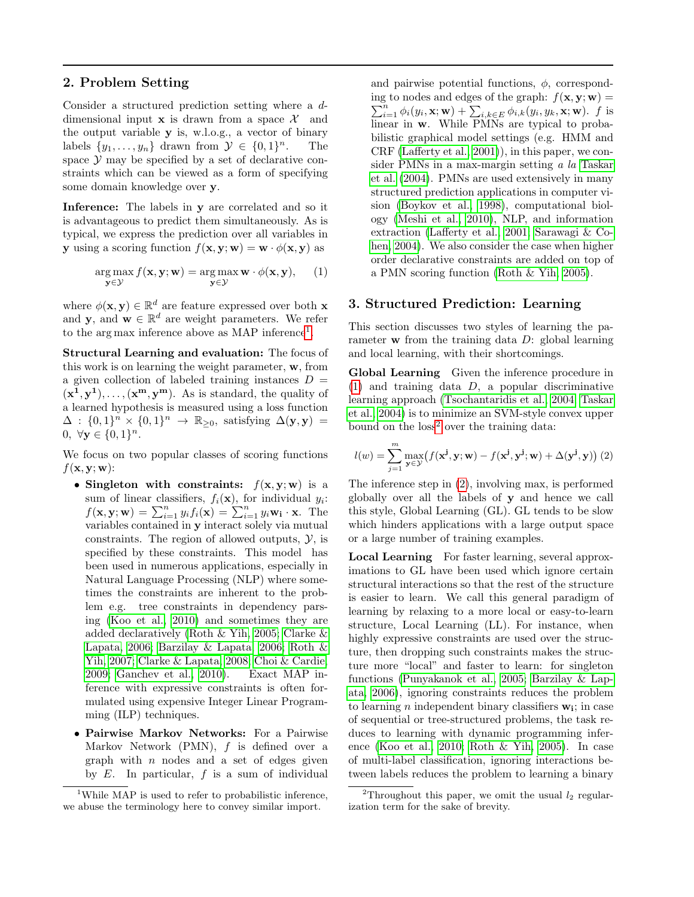## <span id="page-1-0"></span>2. Problem Setting

Consider a structured prediction setting where a ddimensional input  $x$  is drawn from a space  $\mathcal{X}$  and the output variable y is, w.l.o.g., a vector of binary labels  $\{y_1, \ldots, y_n\}$  drawn from  $\mathcal{Y} \in \{0,1\}^n$ . <sup>n</sup>. The space  $\mathcal Y$  may be specified by a set of declarative constraints which can be viewed as a form of specifying some domain knowledge over y.

Inference: The labels in y are correlated and so it is advantageous to predict them simultaneously. As is typical, we express the prediction over all variables in **y** using a scoring function  $f(\mathbf{x}, \mathbf{y}; \mathbf{w}) = \mathbf{w} \cdot \phi(\mathbf{x}, \mathbf{y})$  as

$$
\arg\max_{\mathbf{y}\in\mathcal{Y}} f(\mathbf{x}, \mathbf{y}; \mathbf{w}) = \arg\max_{\mathbf{y}\in\mathcal{Y}} \mathbf{w} \cdot \phi(\mathbf{x}, \mathbf{y}), \quad (1)
$$

where  $\phi(\mathbf{x}, \mathbf{y}) \in \mathbb{R}^d$  are feature expressed over both **x** and **y**, and **w**  $\in \mathbb{R}^d$  are weight parameters. We refer to the arg max inference above as MAP inference<sup>[1](#page-1-2)</sup>.

Structural Learning and evaluation: The focus of this work is on learning the weight parameter, w, from a given collection of labeled training instances  $D =$  $(x^1, y^1), \ldots, (x^m, y^m)$ . As is standard, the quality of a learned hypothesis is measured using a loss function  $\Delta : \{0,1\}^n \times \{0,1\}^n \rightarrow \mathbb{R}_{\geq 0}$ , satisfying  $\Delta(\mathbf{y}, \mathbf{y}) =$ 0,  $\forall y \in \{0, 1\}^n$ .

We focus on two popular classes of scoring functions  $f(\mathbf{x}, \mathbf{y}; \mathbf{w})$ :

- Singleton with constraints:  $f(x, y; w)$  is a sum of linear classifiers,  $f_i(\mathbf{x})$ , for individual  $y_i$ :  $f(\mathbf{x}, \mathbf{y}; \mathbf{w}) = \sum_{i=1}^{n} y_i f_i(\mathbf{x}) = \sum_{i=1}^{n} y_i \mathbf{w_i} \cdot \mathbf{x}$ . The variables contained in y interact solely via mutual constraints. The region of allowed outputs,  $\mathcal{Y}$ , is specified by these constraints. This model has been used in numerous applications, especially in Natural Language Processing (NLP) where sometimes the constraints are inherent to the problem e.g. tree constraints in dependency parsing [\(Koo et al., 2010\)](#page-7-14) and sometimes they are added declaratively [\(Roth & Yih, 2005;](#page-7-3) [Clarke &](#page-7-15) [Lapata, 2006;](#page-7-15) [Barzilay & Lapata, 2006;](#page-7-16) [Roth &](#page-7-17) [Yih, 2007;](#page-7-17) [Clarke & Lapata, 2008;](#page-7-18) [Choi & Cardie,](#page-7-19) [2009;](#page-7-19) [Ganchev et al., 2010\)](#page-7-20). Exact MAP inference with expressive constraints is often formulated using expensive Integer Linear Programming (ILP) techniques.
- Pairwise Markov Networks: For a Pairwise Markov Network (PMN),  $f$  is defined over a graph with  $n$  nodes and a set of edges given by  $E$ . In particular,  $f$  is a sum of individual

and pairwise potential functions,  $\phi$ , corresponding to nodes and edges of the graph:  $f(\mathbf{x}, \mathbf{y}; \mathbf{w}) =$  $\sum_{i=1}^n \phi_i(y_i, \mathbf{x}; \mathbf{w}) + \sum_{i,k \in E} \phi_{i,k}(y_i, y_k, \mathbf{x}; \mathbf{w})$ . f is linear in w. While PMNs are typical to probabilistic graphical model settings (e.g. HMM and CRF [\(Lafferty et al., 2001\)](#page-7-21)), in this paper, we consider PMNs in a max-margin setting a la [Taskar](#page-7-2) [et al.](#page-7-2) [\(2004\)](#page-7-2). PMNs are used extensively in many structured prediction applications in computer vision [\(Boykov et al., 1998\)](#page-7-22), computational biology [\(Meshi et al., 2010\)](#page-7-9), NLP, and information extraction [\(Lafferty et al., 2001;](#page-7-21) [Sarawagi & Co](#page-7-23)[hen, 2004\)](#page-7-23). We also consider the case when higher order declarative constraints are added on top of a PMN scoring function [\(Roth & Yih, 2005\)](#page-7-3).

#### <span id="page-1-3"></span><span id="page-1-1"></span>3. Structured Prediction: Learning

This section discusses two styles of learning the parameter **w** from the training data  $D$ : global learning and local learning, with their shortcomings.

Global Learning Given the inference procedure in  $(1)$  and training data  $D$ , a popular discriminative learning approach [\(Tsochantaridis et al., 2004;](#page-7-1) [Taskar](#page-7-2) [et al., 2004\)](#page-7-2) is to minimize an SVM-style convex upper bound on the loss<sup>[2](#page-1-4)</sup> over the training data:

<span id="page-1-5"></span>
$$
l(w) = \sum_{j=1}^{m} \max_{\mathbf{y} \in \mathcal{Y}} \left( f(\mathbf{x}^{\mathbf{j}}, \mathbf{y}; \mathbf{w}) - f(\mathbf{x}^{\mathbf{j}}, \mathbf{y}^{\mathbf{j}}; \mathbf{w}) + \Delta(\mathbf{y}^{\mathbf{j}}, \mathbf{y}) \right) (2)
$$

The inference step in [\(2\)](#page-1-5), involving max, is performed globally over all the labels of y and hence we call this style, Global Learning (GL). GL tends to be slow which hinders applications with a large output space or a large number of training examples.

Local Learning For faster learning, several approximations to GL have been used which ignore certain structural interactions so that the rest of the structure is easier to learn. We call this general paradigm of learning by relaxing to a more local or easy-to-learn structure, Local Learning (LL). For instance, when highly expressive constraints are used over the structure, then dropping such constraints makes the structure more "local" and faster to learn: for singleton functions [\(Punyakanok et al., 2005;](#page-7-4) [Barzilay & Lap](#page-7-16)[ata, 2006\)](#page-7-16), ignoring constraints reduces the problem to learning *n* independent binary classifiers  $w_i$ ; in case of sequential or tree-structured problems, the task reduces to learning with dynamic programming inference [\(Koo et al., 2010;](#page-7-14) [Roth & Yih, 2005\)](#page-7-3). In case of multi-label classification, ignoring interactions between labels reduces the problem to learning a binary

<span id="page-1-2"></span><sup>&</sup>lt;sup>1</sup>While MAP is used to refer to probabilistic inference, we abuse the terminology here to convey similar import.

<span id="page-1-4"></span><sup>&</sup>lt;sup>2</sup>Throughout this paper, we omit the usual  $l_2$  regularization term for the sake of brevity.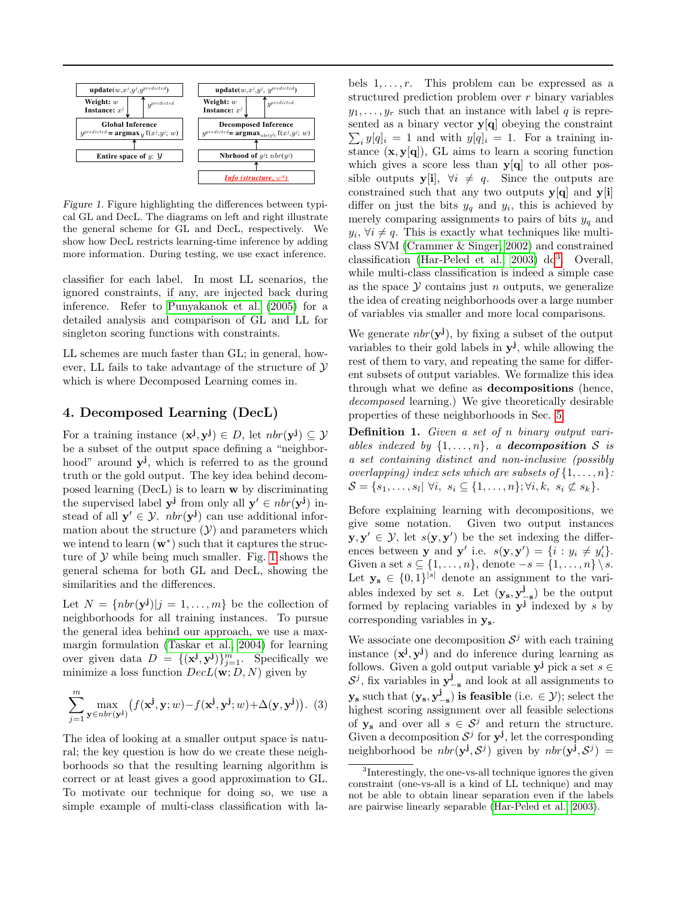

<span id="page-2-1"></span>Figure 1. Figure highlighting the differences between typical GL and DecL. The diagrams on left and right illustrate the general scheme for GL and DecL, respectively. We show how DecL restricts learning-time inference by adding more information. During testing, we use exact inference.

classifier for each label. In most LL scenarios, the ignored constraints, if any, are injected back during inference. Refer to [Punyakanok et al.](#page-7-4) [\(2005\)](#page-7-4) for a detailed analysis and comparison of GL and LL for singleton scoring functions with constraints.

LL schemes are much faster than GL; in general, however, LL fails to take advantage of the structure of  $\mathcal Y$ which is where Decomposed Learning comes in.

#### <span id="page-2-0"></span>4. Decomposed Learning (DecL)

For a training instance  $(\mathbf{x}^{\mathbf{j}}, \mathbf{y}^{\mathbf{j}}) \in D$ , let  $nbr(\mathbf{y}^{\mathbf{j}}) \subseteq \mathcal{Y}$ be a subset of the output space defining a "neighborhood" around  $y^{j}$ , which is referred to as the ground truth or the gold output. The key idea behind decomposed learning (DecL) is to learn w by discriminating the supervised label  $y^j$  from only all  $y' \in nhr(y^j)$  instead of all  $y' \in \mathcal{Y}$ .  $nbr(y^{j})$  can use additional information about the structure  $(Y)$  and parameters which we intend to learn  $(w^*)$  such that it captures the structure of  $Y$  while being much smaller. Fig. [1](#page-2-1) shows the general schema for both GL and DecL, showing the similarities and the differences.

Let  $N = \{nbr(\mathbf{y}^j) | j = 1, \ldots, m\}$  be the collection of neighborhoods for all training instances. To pursue the general idea behind our approach, we use a maxmargin formulation [\(Taskar et al., 2004\)](#page-7-2) for learning over given data  $D = \{(\mathbf{x}^j, \mathbf{y}^j)\}_{j=1}^m$ . Specifically we minimize a loss function  $DecL(\mathbf{w}; D, N)$  given by

$$
\sum_{j=1}^{m} \max_{\mathbf{y} \in nbr(\mathbf{y}^{\mathbf{j}})} \big( f(\mathbf{x}^{\mathbf{j}}, \mathbf{y}; w) - f(\mathbf{x}^{\mathbf{j}}, \mathbf{y}^{\mathbf{j}}; w) + \Delta(\mathbf{y}, \mathbf{y}^{\mathbf{j}}) \big). (3)
$$

The idea of looking at a smaller output space is natural; the key question is how do we create these neighborhoods so that the resulting learning algorithm is correct or at least gives a good approximation to GL. To motivate our technique for doing so, we use a simple example of multi-class classification with labels  $1, \ldots, r$ . This problem can be expressed as a structured prediction problem over r binary variables  $y_1, \ldots, y_r$  such that an instance with label q is represented as a binary vector  $y[q]$  obeying the constraint  $\sum_i y[q]_i = 1$  and with  $y[q]_i = 1$ . For a training instance  $(x, y[q])$ , GL aims to learn a scoring function which gives a score less than  $y[q]$  to all other possible outputs y[i],  $\forall i \neq q$ . Since the outputs are constrained such that any two outputs  $y[q]$  and  $y[i]$ differ on just the bits  $y_q$  and  $y_i$ , this is achieved by merely comparing assignments to pairs of bits  $y_q$  and  $y_i, \forall i \neq q$ . This is exactly what techniques like multiclass SVM [\(Crammer & Singer, 2002\)](#page-7-24) and constrained classification [\(Har-Peled et al., 2003\)](#page-7-25)  $d\sigma^3$  $d\sigma^3$ . Overall, while multi-class classification is indeed a simple case as the space  $\mathcal Y$  contains just n outputs, we generalize the idea of creating neighborhoods over a large number of variables via smaller and more local comparisons.

We generate  $nbr(y^j)$ , by fixing a subset of the output variables to their gold labels in  $y^j$ , while allowing the rest of them to vary, and repeating the same for different subsets of output variables. We formalize this idea through what we define as decompositions (hence, decomposed learning.) We give theoretically desirable properties of these neighborhoods in Sec. [5.](#page-3-0)

Definition 1. Given a set of n binary output variables indexed by  $\{1, \ldots, n\}$ , a **decomposition** S is a set containing distinct and non-inclusive (possibly overlapping) index sets which are subsets of  $\{1, \ldots, n\}$ :  $\mathcal{S} = \{s_1, \ldots, s_l | \forall i, s_i \subseteq \{1, \ldots, n\}; \forall i, k, s_i \not\subset s_k\}.$ 

Before explaining learning with decompositions, we give some notation. Given two output instances  $\mathbf{y}, \mathbf{y}' \in \mathcal{Y}$ , let  $s(\mathbf{y}, \mathbf{y}')$  be the set indexing the differences between **y** and **y'** i.e.  $s(\mathbf{y}, \mathbf{y}') = \{i : y_i \neq y'_i\}.$ Given a set  $s \subseteq \{1, \ldots, n\}$ , denote  $-s = \{1, \ldots, n\} \setminus s$ . Let  $y_s \in \{0,1\}^{|s|}$  denote an assignment to the variables indexed by set s. Let  $(\mathbf{y}_s, \mathbf{y}_{-s}^j)$  be the output formed by replacing variables in  $y^j$  indexed by s by corresponding variables in ys.

We associate one decomposition  $S^j$  with each training instance  $(x^{j}, y^{j})$  and do inference during learning as follows. Given a gold output variable  $y^j$  pick a set  $s \in$  $S^j$ , fix variables in  $y^j_{-s}$  and look at all assignments to  $\mathbf{y}_s$  such that  $(\mathbf{y}_s, \mathbf{y}_{-s}^j)$  is feasible (i.e.  $\in \mathcal{Y}$ ); select the highest scoring assignment over all feasible selections of  $y_s$  and over all  $s \in S^j$  and return the structure. Given a decomposition  $S^j$  for  $y^j$ , let the corresponding neighborhood be  $nbr(\mathbf{y}^j, \mathcal{S}^j)$  given by  $nbr(\mathbf{y}^j, \mathcal{S}^j)$  =

<span id="page-2-2"></span><sup>&</sup>lt;sup>3</sup>Interestingly, the one-vs-all technique ignores the given constraint (one-vs-all is a kind of LL technique) and may not be able to obtain linear separation even if the labels are pairwise linearly separable [\(Har-Peled et al., 2003\)](#page-7-25).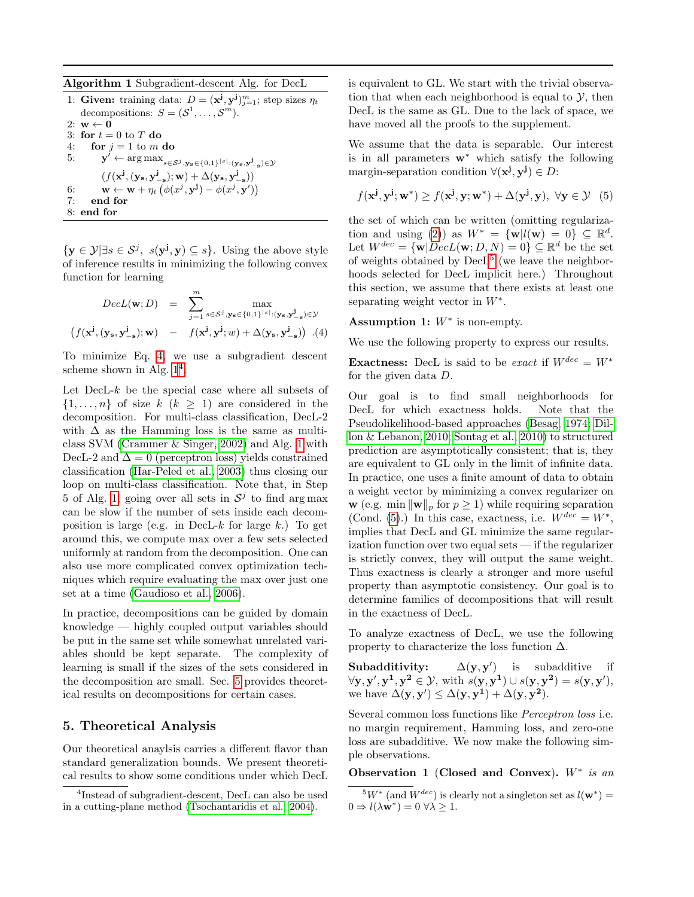<span id="page-3-2"></span>Algorithm 1 Subgradient-descent Alg. for DecL

|    | 1: Given: training data: $D = (\mathbf{x}^j, \mathbf{y}^j)_{i=1}^m$ ; step sizes $\eta_t$                                                                 |
|----|-----------------------------------------------------------------------------------------------------------------------------------------------------------|
|    | decompositions: $S = (S^1, \dots, S^m)$ .                                                                                                                 |
|    | 2: $\mathbf{w} \leftarrow \mathbf{0}$                                                                                                                     |
|    | 3: for $t=0$ to T do                                                                                                                                      |
|    | 4: for $j = 1$ to m do                                                                                                                                    |
|    | 5: $\mathbf{y}^{\prime} \leftarrow \arg \max_{s \in S^j, \mathbf{y}_s \in \{0,1\}^{\lvert s \rvert} : (\mathbf{y}_s, \mathbf{y}_{-s}^j) \in \mathcal{Y}}$ |
|    | $(f(\mathbf{x}^j, (\mathbf{y}_s, \mathbf{y}_{-s}^j); \mathbf{w}) + \Delta(\mathbf{y}_s, \mathbf{y}_{-s}^j))$                                              |
|    | 6: $\mathbf{w} \leftarrow \mathbf{w} + \eta_t \left( \phi(x^j, \mathbf{y}^j) - \phi(x^j, \mathbf{y}') \right)$                                            |
| 7: | end for                                                                                                                                                   |
|    | $8:$ end for                                                                                                                                              |

 $\{y \in \mathcal{Y} | \exists s \in \mathcal{S}^j, s(y^j, y) \subseteq s\}.$  Using the above style of inference results in minimizing the following convex function for learning

<span id="page-3-1"></span>
$$
DecL(\mathbf{w}; D) = \sum_{j=1}^{m} \max_{s \in S^j, \mathbf{y}_s \in \{0,1\}^{\lfloor s \rfloor} : (\mathbf{y}_s, \mathbf{y}_{-s}^j) \in \mathcal{Y}}
$$

$$
(f(\mathbf{x}^j, (\mathbf{y}_s, \mathbf{y}_{-s}^j); \mathbf{w}) - f(\mathbf{x}^j, \mathbf{y}^j; w) + \Delta(\mathbf{y}_s, \mathbf{y}_{-s}^j)) .(4)
$$

To minimize Eq. [4,](#page-3-1) we use a subgradient descent scheme shown in Alg.  $1<sup>4</sup>$  $1<sup>4</sup>$  $1<sup>4</sup>$ .

Let  $\text{DecL-}k$  be the special case where all subsets of  $\{1, \ldots, n\}$  of size  $k \ (k \geq 1)$  are considered in the decomposition. For multi-class classification, DecL-2 with  $\Delta$  as the Hamming loss is the same as multiclass SVM [\(Crammer & Singer, 2002\)](#page-7-24) and Alg. [1](#page-3-2) with DecL-2 and  $\Delta = 0$  (perceptron loss) yields constrained classification [\(Har-Peled et al., 2003\)](#page-7-25) thus closing our loop on multi-class classification. Note that, in Step 5 of Alg. [1,](#page-3-2) going over all sets in  $S^j$  to find argmax can be slow if the number of sets inside each decomposition is large (e.g. in DecL-k for large k.) To get around this, we compute max over a few sets selected uniformly at random from the decomposition. One can also use more complicated convex optimization techniques which require evaluating the max over just one set at a time [\(Gaudioso et al., 2006\)](#page-7-26).

In practice, decompositions can be guided by domain knowledge — highly coupled output variables should be put in the same set while somewhat unrelated variables should be kept separate. The complexity of learning is small if the sizes of the sets considered in the decomposition are small. Sec. [5](#page-3-0) provides theoretical results on decompositions for certain cases.

# <span id="page-3-0"></span>5. Theoretical Analysis

Our theoretical anaylsis carries a different flavor than standard generalization bounds. We present theoretical results to show some conditions under which DecL is equivalent to GL. We start with the trivial observation that when each neighborhood is equal to  $\mathcal{Y}$ , then DecL is the same as GL. Due to the lack of space, we have moved all the proofs to the supplement.

We assume that the data is separable. Our interest is in all parameters  $w^*$  which satisfy the following margin-separation condition  $\forall (x^j, y^j) \in D$ :

<span id="page-3-5"></span>
$$
f(\mathbf{x}^{\mathbf{j}}, \mathbf{y}^{\mathbf{j}}; \mathbf{w}^*) \ge f(\mathbf{x}^{\mathbf{j}}, \mathbf{y}; \mathbf{w}^*) + \Delta(\mathbf{y}^{\mathbf{j}}, \mathbf{y}), \ \forall \mathbf{y} \in \mathcal{Y} \tag{5}
$$

the set of which can be written (omitting regulariza-tion and using [\(2\)](#page-1-5)) as  $W^* = {\mathbf{w}} | l(\mathbf{w}) = 0 \} \subseteq \mathbb{R}^d$ . Let  $W^{dec} = {\mathbf{w} | Dec L(\mathbf{w}; D, N) = 0} \subseteq \mathbb{R}^d$  be the set of weights obtained by  $\text{DecL}^5$  $\text{DecL}^5$  (we leave the neighborhoods selected for DecL implicit here.) Throughout this section, we assume that there exists at least one separating weight vector in  $W^*$ .

#### Assumption 1:  $W^*$  is non-empty.

We use the following property to express our results.

**Exactness:** DecL is said to be exact if  $W^{dec} = W^*$ for the given data D.

Our goal is to find small neighborhoods for DecL for which exactness holds. Note that the Pseudolikelihood-based approaches [\(Besag, 1974;](#page-7-12) [Dil](#page-7-27)[lon & Lebanon, 2010;](#page-7-27) [Sontag et al., 2010\)](#page-7-13) to structured prediction are asymptotically consistent; that is, they are equivalent to GL only in the limit of infinite data. In practice, one uses a finite amount of data to obtain a weight vector by minimizing a convex regularizer on w (e.g. min  $\|\mathbf{w}\|_p$  for  $p \ge 1$ ) while requiring separation (Cond. [\(5\)](#page-3-5).) In this case, exactness, i.e.  $W^{dec} = W^*$ , implies that DecL and GL minimize the same regularization function over two equal sets — if the regularizer is strictly convex, they will output the same weight. Thus exactness is clearly a stronger and more useful property than asymptotic consistency. Our goal is to determine families of decompositions that will result in the exactness of DecL.

To analyze exactness of DecL, we use the following property to characterize the loss function  $\Delta$ .

Subadditivity: 0 ) is subadditive if  $\forall$ y, y', y<sup>1</sup>, y<sup>2</sup>  $\in \mathcal{Y}$ , with  $s(y, y^1) \cup s(y, y^2) = s(y, y'),$ we have  $\Delta(\mathbf{y}, \mathbf{y}') \leq \Delta(\mathbf{y}, \mathbf{y}^1) + \Delta(\mathbf{y}, \mathbf{y}^2)$ .

Several common loss functions like Perceptron loss i.e. no margin requirement, Hamming loss, and zero-one loss are subadditive. We now make the following simple observations.

Observation 1 (Closed and Convex).  $W^*$  is an

<span id="page-3-3"></span><sup>4</sup> Instead of subgradient-descent, DecL can also be used in a cutting-plane method [\(Tsochantaridis et al., 2004\)](#page-7-1).

<span id="page-3-4"></span><sup>&</sup>lt;sup>5</sup>W<sup>\*</sup> (and  $W^{dec}$ ) is clearly not a singleton set as  $l(\mathbf{w}^*)$  =  $0 \Rightarrow l(\lambda \mathbf{w}^*) = 0 \,\forall \lambda \geq 1.$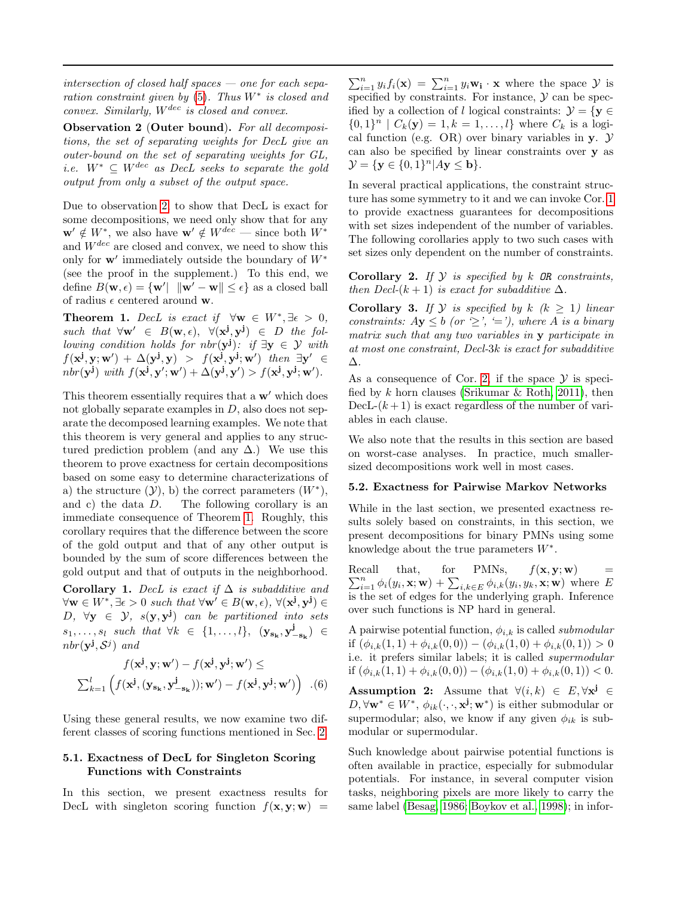intersection of closed half spaces  $-$  one for each separation constraint given by  $(5)$ . Thus  $W^*$  is closed and convex. Similarly,  $W^{dec}$  is closed and convex.

<span id="page-4-0"></span>Observation 2 (Outer bound). For all decompositions, the set of separating weights for DecL give an outer-bound on the set of separating weights for GL, i.e.  $W^* \subseteq W^{dec}$  as DecL seeks to separate the gold output from only a subset of the output space.

Due to observation [2,](#page-4-0) to show that DecL is exact for some decompositions, we need only show that for any  $\mathbf{w}' \notin W^*$ , we also have  $\mathbf{w}' \notin W^{dec}$  — since both  $W^*$ and  $W^{dec}$  are closed and convex, we need to show this only for  $w'$  immediately outside the boundary of  $W^*$ (see the proof in the supplement.) To this end, we define  $B(\mathbf{w}, \epsilon) = \{ \mathbf{w}' | \|\mathbf{w}' - \mathbf{w}\| \leq \epsilon \}$  as a closed ball of radius  $\epsilon$  centered around **w**.

<span id="page-4-1"></span>Theorem 1. DecL is exact if  $\forall w \in W^*, \exists \epsilon > 0,$ such that  $\forall w' \in B(w, \epsilon), \forall (x^j, y^j) \in D$  the following condition holds for nbr( $y^j$ ): if  $\exists y \in \mathcal{Y}$  with  $f(\mathbf{x}^{\mathbf{j}}, \mathbf{y}; \mathbf{w}') + \Delta(\mathbf{y}^{\mathbf{j}}, \mathbf{y}) > f(\mathbf{x}^{\mathbf{j}}, \mathbf{y}^{\mathbf{j}}; \mathbf{w}')$  then  $\exists \mathbf{y}' \in$  $nbr(\mathbf{y}^{\mathbf{j}}) \text{ with } f(\mathbf{x}^{\mathbf{j}}, \mathbf{y}'; \mathbf{w}') + \Delta(\mathbf{y}^{\mathbf{j}}, \mathbf{y}') > f(\mathbf{x}^{\mathbf{j}}, \mathbf{y}^{\mathbf{j}}; \mathbf{w}').$ 

This theorem essentially requires that a  $w'$  which does not globally separate examples in  $D$ , also does not separate the decomposed learning examples. We note that this theorem is very general and applies to any structured prediction problem (and any  $\Delta$ .) We use this theorem to prove exactness for certain decompositions based on some easy to determine characterizations of a) the structure  $(\mathcal{Y})$ , b) the correct parameters  $(W^*)$ , and c) the data  $D$ . The following corollary is an immediate consequence of Theorem [1.](#page-4-1) Roughly, this corollary requires that the difference between the score of the gold output and that of any other output is bounded by the sum of score differences between the gold output and that of outputs in the neighborhood.

<span id="page-4-2"></span>Corollary 1. DecL is exact if  $\Delta$  is subadditive and  $\forall \mathbf{w} \in W^*, \exists \epsilon > 0 \text{ such that } \forall \mathbf{w}' \in B(\mathbf{w}, \epsilon), \forall (\mathbf{x}^{\mathbf{j}}, \mathbf{y}^{\mathbf{j}}) \in$  $D, \forall y \in \mathcal{Y}, s(y, y^j)$  can be partitioned into sets  $s_1, \ldots, s_l$  such that  $\forall k \in \{1, \ldots, l\}, \ (\mathbf{y}_{\mathbf{s}_k}, \mathbf{y}_{-\mathbf{s}_k}^j) \in$  $nbr(\mathbf{y}^{\mathbf{j}}, \mathcal{S}^j)$  and

$$
f(\mathbf{x}^{\mathbf{j}}, \mathbf{y}; \mathbf{w}') - f(\mathbf{x}^{\mathbf{j}}, \mathbf{y}^{\mathbf{j}}; \mathbf{w}') \le
$$

$$
\sum_{k=1}^{l} \left( f(\mathbf{x}^{\mathbf{j}}, (\mathbf{y}_{\mathbf{s}_{k}}, \mathbf{y}_{-\mathbf{s}_{k}}^{\mathbf{j}})); \mathbf{w}') - f(\mathbf{x}^{\mathbf{j}}, \mathbf{y}^{\mathbf{j}}; \mathbf{w}') \right) . (6)
$$

Using these general results, we now examine two different classes of scoring functions mentioned in Sec. [2.](#page-1-0)

#### 5.1. Exactness of DecL for Singleton Scoring Functions with Constraints

In this section, we present exactness results for DecL with singleton scoring function  $f(\mathbf{x}, \mathbf{y}; \mathbf{w})$  =

 $\sum_{i=1}^{n} y_i f_i(\mathbf{x}) = \sum_{i=1}^{n} y_i \mathbf{w_i} \cdot \mathbf{x}$  where the space  $\mathcal{Y}$  is specified by constraints. For instance,  $\mathcal Y$  can be specified by a collection of l logical constraints:  $\mathcal{Y} = \{ \mathbf{y} \in$  $\{0,1\}^n | C_k(\mathbf{y}) = 1, k = 1, \ldots, l\}$  where  $C_k$  is a logical function (e.g. OR) over binary variables in y.  $\mathcal Y$ can also be specified by linear constraints over y as  $\mathcal{Y} = \{ \mathbf{y} \in \{0,1\}^n | A\mathbf{y} \leq \mathbf{b} \}.$ 

In several practical applications, the constraint structure has some symmetry to it and we can invoke Cor. [1](#page-4-2) to provide exactness guarantees for decompositions with set sizes independent of the number of variables. The following corollaries apply to two such cases with set sizes only dependent on the number of constraints.

<span id="page-4-3"></span>**Corollary 2.** If  $\mathcal{Y}$  is specified by  $k$  OR constraints, then Decl- $(k + 1)$  is exact for subadditive  $\Delta$ .

**Corollary 3.** If  $Y$  is specified by  $k \ (k \geq 1)$  linear constraints:  $Ay \leq b$  (or  $\geq$ ',  $\equiv$ '), where A is a binary matrix such that any two variables in y participate in at most one constraint, Decl-3k is exact for subadditive ∆.

As a consequence of Cor. [2,](#page-4-3) if the space  $\mathcal Y$  is specified by  $k$  horn clauses (Srikumar  $\&$  Roth, 2011), then DecL- $(k+1)$  is exact regardless of the number of variables in each clause.

We also note that the results in this section are based on worst-case analyses. In practice, much smallersized decompositions work well in most cases.

#### <span id="page-4-4"></span>5.2. Exactness for Pairwise Markov Networks

While in the last section, we presented exactness results solely based on constraints, in this section, we present decompositions for binary PMNs using some knowledge about the true parameters  $W^*$ .

Recall that, for PMNs,  $\sum_{i=1}^{n} \phi_i(y_i, \mathbf{x}; \mathbf{w}) + \sum_{i,k \in E} \phi_{i,k}(y_i, y_k, \mathbf{x}; \mathbf{w})$  where E  $f(\mathbf{x}, \mathbf{y}; \mathbf{w}) =$ is the set of edges for the underlying graph. Inference over such functions is NP hard in general.

A pairwise potential function,  $\phi_{i,k}$  is called *submodular* if  $(\phi_{i,k}(1,1) + \phi_{i,k}(0,0)) - (\phi_{i,k}(1,0) + \phi_{i,k}(0,1)) > 0$ i.e. it prefers similar labels; it is called supermodular if  $(\phi_{i,k}(1,1) + \phi_{i,k}(0,0)) - (\phi_{i,k}(1,0) + \phi_{i,k}(0,1)) < 0.$ 

**Assumption 2:** Assume that  $\forall (i,k) \in E, \forall x^j \in E$  $D, \forall \mathbf{w}^* \in W^*, \ \phi_{ik}(\cdot, \cdot, \mathbf{x}^{\mathbf{j}}; \mathbf{w}^*)$  is either submodular or supermodular; also, we know if any given  $\phi_{ik}$  is submodular or supermodular.

Such knowledge about pairwise potential functions is often available in practice, especially for submodular potentials. For instance, in several computer vision tasks, neighboring pixels are more likely to carry the same label [\(Besag, 1986;](#page-7-29) [Boykov et al., 1998\)](#page-7-22); in infor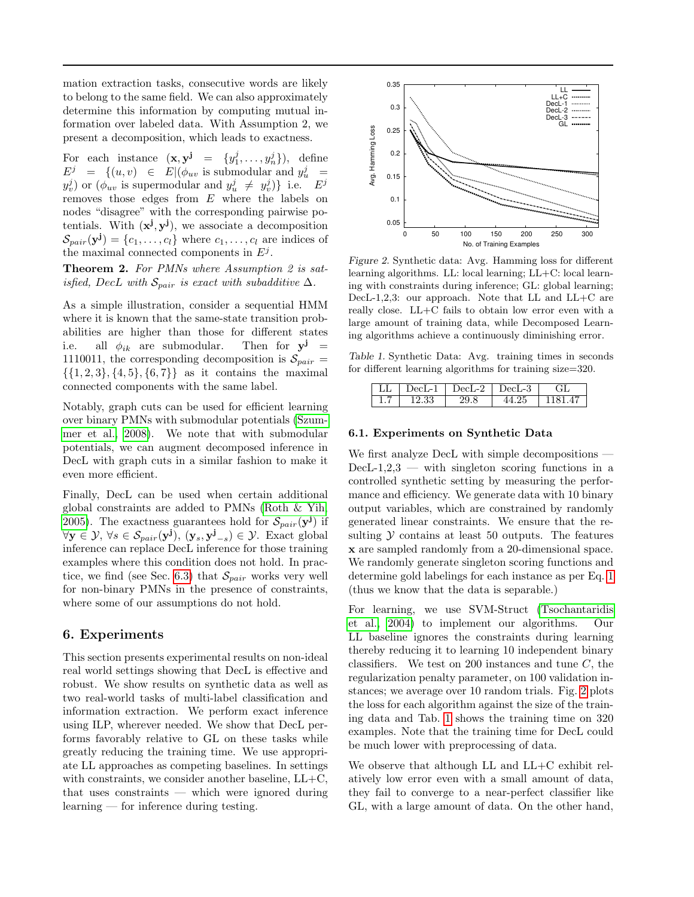mation extraction tasks, consecutive words are likely to belong to the same field. We can also approximately determine this information by computing mutual information over labeled data. With Assumption 2, we present a decomposition, which leads to exactness.

For each instance  $(\mathbf{x}, \mathbf{y}^{\mathbf{j}} = \{y_1^j, \ldots, y_n^j\}),$  define  $E^j = \{(u, v) \in E | (\phi_{uv} \text{ is submodular and } y_u^j)$  $y_v^j$  or  $(\phi_{uv}$  is supermodular and  $y_u^j \neq y_v^j$  i.e.  $E^j$ removes those edges from  $E$  where the labels on nodes "disagree" with the corresponding pairwise potentials. With  $(x^{j}, y^{j})$ , we associate a decomposition  $\mathcal{S}_{pair}(\mathbf{y}^{\mathbf{j}}) = \{c_1, \ldots, c_l\}$  where  $c_1, \ldots, c_l$  are indices of the maximal connected components in  $E^j$ .

Theorem 2. For PMNs where Assumption 2 is satisfied, DecL with  $\mathcal{S}_{pair}$  is exact with subadditive  $\Delta$ .

As a simple illustration, consider a sequential HMM where it is known that the same-state transition probabilities are higher than those for different states i.e. all  $\phi_{ik}$  are submodular. Then for  $y^j$  = 1110011, the corresponding decomposition is  $\mathcal{S}_{pair} =$  $\{\{1, 2, 3\}, \{4, 5\}, \{6, 7\}\}\$ as it contains the maximal connected components with the same label.

Notably, graph cuts can be used for efficient learning over binary PMNs with submodular potentials [\(Szum](#page-7-30)[mer et al., 2008\)](#page-7-30). We note that with submodular potentials, we can augment decomposed inference in DecL with graph cuts in a similar fashion to make it even more efficient.

Finally, DecL can be used when certain additional global constraints are added to PMNs [\(Roth & Yih,](#page-7-3) [2005\)](#page-7-3). The exactness guarantees hold for  $\mathcal{S}_{pair}(\mathbf{y}^{\mathbf{j}})$  if  $\forall \mathbf{y} \in \mathcal{Y}, \forall s \in \mathcal{S}_{pair}(\mathbf{y}^{\mathbf{j}}), (\mathbf{y}_s, \mathbf{y}_{-s}^{\mathbf{j}}) \in \mathcal{Y}$ . Exact global inference can replace DecL inference for those training examples where this condition does not hold. In prac-tice, we find (see Sec. [6.3\)](#page-6-0) that  $\mathcal{S}_{pair}$  works very well for non-binary PMNs in the presence of constraints, where some of our assumptions do not hold.

## <span id="page-5-0"></span>6. Experiments

This section presents experimental results on non-ideal real world settings showing that DecL is effective and robust. We show results on synthetic data as well as two real-world tasks of multi-label classification and information extraction. We perform exact inference using ILP, wherever needed. We show that DecL performs favorably relative to GL on these tasks while greatly reducing the training time. We use appropriate LL approaches as competing baselines. In settings with constraints, we consider another baseline,  $LL+C$ , that uses constraints — which were ignored during learning — for inference during testing.



<span id="page-5-1"></span>Figure 2. Synthetic data: Avg. Hamming loss for different learning algorithms. LL: local learning; LL+C: local learning with constraints during inference; GL: global learning; DecL-1,2,3: our approach. Note that LL and  $LL+C$  are really close. LL+C fails to obtain low error even with a large amount of training data, while Decomposed Learning algorithms achieve a continuously diminishing error.

Table 1. Synthetic Data: Avg. training times in seconds for different learning algorithms for training size=320.

<span id="page-5-2"></span>

| DecL-1 | $DecI - 2$ | ച<br>)ecL-3 | тL |
|--------|------------|-------------|----|
|        |            | רי.ל        |    |

#### 6.1. Experiments on Synthetic Data

We first analyze DecL with simple decompositions - $DecL-1,2,3$  — with singleton scoring functions in a controlled synthetic setting by measuring the performance and efficiency. We generate data with 10 binary output variables, which are constrained by randomly generated linear constraints. We ensure that the resulting  $Y$  contains at least 50 outputs. The features x are sampled randomly from a 20-dimensional space. We randomly generate singleton scoring functions and determine gold labelings for each instance as per Eq. [1](#page-1-3) (thus we know that the data is separable.)

For learning, we use SVM-Struct [\(Tsochantaridis](#page-7-1) [et al., 2004\)](#page-7-1) to implement our algorithms. Our LL baseline ignores the constraints during learning thereby reducing it to learning 10 independent binary classifiers. We test on 200 instances and tune  $C$ , the regularization penalty parameter, on 100 validation instances; we average over 10 random trials. Fig. [2](#page-5-1) plots the loss for each algorithm against the size of the training data and Tab. [1](#page-5-2) shows the training time on 320 examples. Note that the training time for DecL could be much lower with preprocessing of data.

We observe that although LL and LL+C exhibit relatively low error even with a small amount of data, they fail to converge to a near-perfect classifier like GL, with a large amount of data. On the other hand,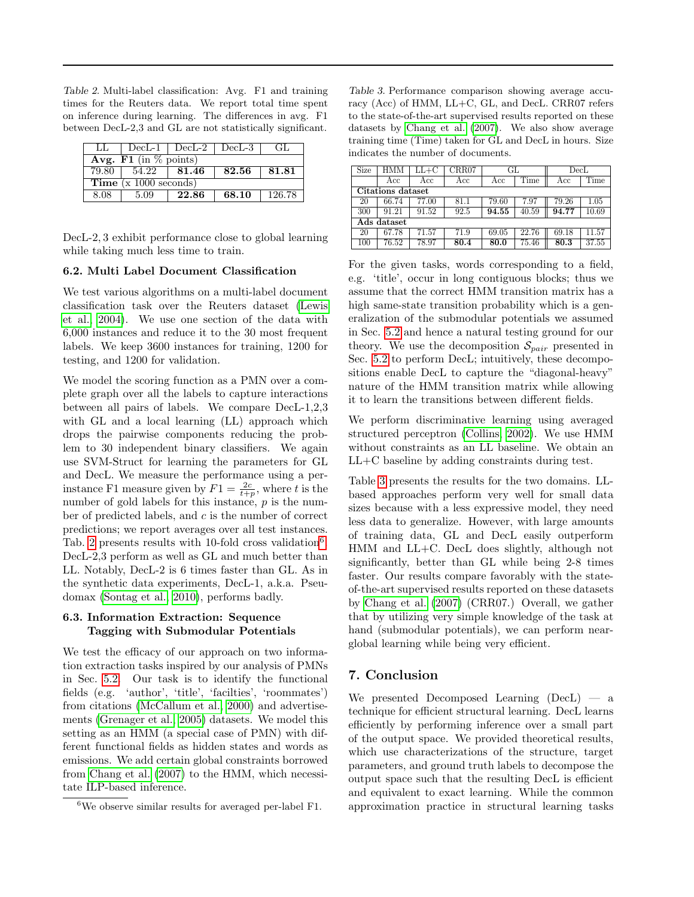<span id="page-6-1"></span>Table 2. Multi-label classification: Avg. F1 and training times for the Reuters data. We report total time spent on inference during learning. The differences in avg. F1 between DecL-2,3 and GL are not statistically significant.

|                                 |                 | LL $\vert$ DecL-1 $\vert$ DecL-2 $\vert$ DecL-3 $\vert$ |       | GL.    |  |  |  |
|---------------------------------|-----------------|---------------------------------------------------------|-------|--------|--|--|--|
| Avg. F1 (in $\%$ points)        |                 |                                                         |       |        |  |  |  |
| 79.80                           | $54.22$   81.46 |                                                         | 82.56 | 81.81  |  |  |  |
| <b>Time</b> ( $x$ 1000 seconds) |                 |                                                         |       |        |  |  |  |
| 8.08                            | 5.09            | 22.86                                                   | 68.10 | 126.78 |  |  |  |

DecL-2, 3 exhibit performance close to global learning while taking much less time to train.

#### 6.2. Multi Label Document Classification

We test various algorithms on a multi-label document classification task over the Reuters dataset [\(Lewis](#page-7-31) [et al., 2004\)](#page-7-31). We use one section of the data with 6,000 instances and reduce it to the 30 most frequent labels. We keep 3600 instances for training, 1200 for testing, and 1200 for validation.

We model the scoring function as a PMN over a complete graph over all the labels to capture interactions between all pairs of labels. We compare DecL-1,2,3 with GL and a local learning (LL) approach which drops the pairwise components reducing the problem to 30 independent binary classifiers. We again use SVM-Struct for learning the parameters for GL and DecL. We measure the performance using a perinstance F1 measure given by  $F1 = \frac{2c}{t+p}$ , where t is the number of gold labels for this instance, p is the number of predicted labels, and c is the number of correct predictions; we report averages over all test instances. Tab. [2](#page-6-1) presents results with 10-fold cross validation<sup>[6](#page-6-2)</sup>. DecL-2,3 perform as well as GL and much better than LL. Notably, DecL-2 is 6 times faster than GL. As in the synthetic data experiments, DecL-1, a.k.a. Pseudomax [\(Sontag et al., 2010\)](#page-7-13), performs badly.

#### <span id="page-6-0"></span>6.3. Information Extraction: Sequence Tagging with Submodular Potentials

We test the efficacy of our approach on two information extraction tasks inspired by our analysis of PMNs in Sec. [5.2.](#page-4-4) Our task is to identify the functional fields (e.g. 'author', 'title', 'facilties', 'roommates') from citations [\(McCallum et al., 2000\)](#page-7-32) and advertisements [\(Grenager et al., 2005\)](#page-7-33) datasets. We model this setting as an HMM (a special case of PMN) with different functional fields as hidden states and words as emissions. We add certain global constraints borrowed from [Chang et al.](#page-7-34) [\(2007\)](#page-7-34) to the HMM, which necessitate ILP-based inference.

<span id="page-6-3"></span>Table 3. Performance comparison showing average accuracy (Acc) of HMM, LL+C, GL, and DecL. CRR07 refers to the state-of-the-art supervised results reported on these datasets by [Chang et al.](#page-7-34) [\(2007\)](#page-7-34). We also show average training time (Time) taken for GL and DecL in hours. Size indicates the number of documents.

| Size              | HMM   | LL+C  | CRR07 | GL    |       | $_{\rm Decl}$ |       |
|-------------------|-------|-------|-------|-------|-------|---------------|-------|
|                   | Acc   | Acc   | Acc   | Acc   | Time  | Acc           | Time  |
| Citations dataset |       |       |       |       |       |               |       |
| 20                | 66.74 | 77.00 | 81.1  | 79.60 | 7.97  | 79.26         | 1.05  |
| 300               | 91.21 | 91.52 | 92.5  | 94.55 | 40.59 | 94.77         | 10.69 |
| Ads dataset       |       |       |       |       |       |               |       |
| 20                | 67.78 | 71.57 | 71.9  | 69.05 | 22.76 | 69.18         | 11.57 |
| 100               | 76.52 | 78.97 | 80.4  | 80.0  | 75.46 | 80.3          | 37.55 |

For the given tasks, words corresponding to a field, e.g. 'title', occur in long contiguous blocks; thus we assume that the correct HMM transition matrix has a high same-state transition probability which is a generalization of the submodular potentials we assumed in Sec. [5.2](#page-4-4) and hence a natural testing ground for our theory. We use the decomposition  $\mathcal{S}_{pair}$  presented in Sec. [5.2](#page-4-4) to perform DecL; intuitively, these decompositions enable DecL to capture the "diagonal-heavy" nature of the HMM transition matrix while allowing it to learn the transitions between different fields.

We perform discriminative learning using averaged structured perceptron [\(Collins, 2002\)](#page-7-0). We use HMM without constraints as an LL baseline. We obtain an LL+C baseline by adding constraints during test.

Table [3](#page-6-3) presents the results for the two domains. LLbased approaches perform very well for small data sizes because with a less expressive model, they need less data to generalize. However, with large amounts of training data, GL and DecL easily outperform HMM and LL+C. DecL does slightly, although not significantly, better than GL while being 2-8 times faster. Our results compare favorably with the stateof-the-art supervised results reported on these datasets by [Chang et al.](#page-7-34) [\(2007\)](#page-7-34) (CRR07.) Overall, we gather that by utilizing very simple knowledge of the task at hand (submodular potentials), we can perform nearglobal learning while being very efficient.

## 7. Conclusion

We presented Decomposed Learning  $(DecL)$  — a technique for efficient structural learning. DecL learns efficiently by performing inference over a small part of the output space. We provided theoretical results, which use characterizations of the structure, target parameters, and ground truth labels to decompose the output space such that the resulting DecL is efficient and equivalent to exact learning. While the common approximation practice in structural learning tasks

<span id="page-6-2"></span> $6$ We observe similar results for averaged per-label F1.